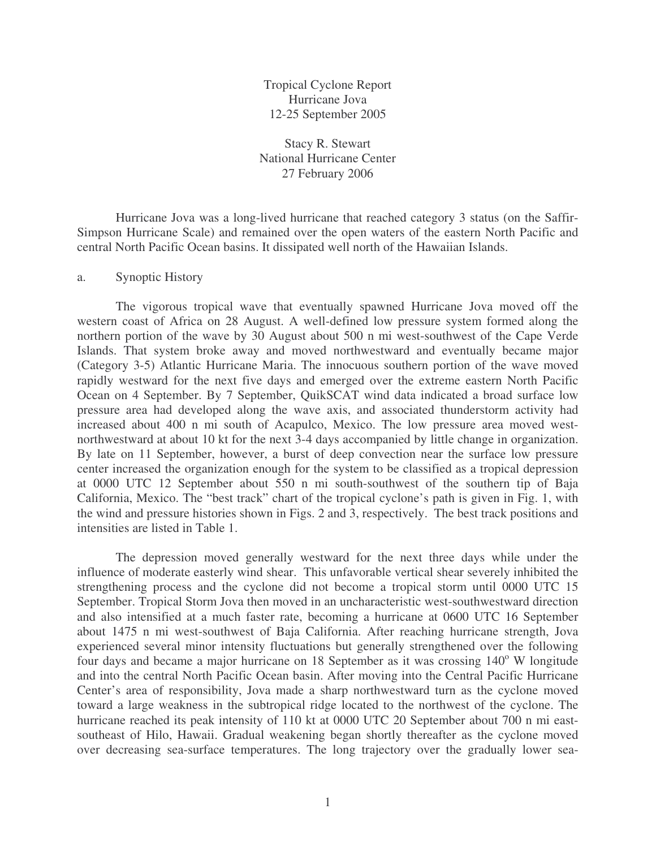Tropical Cyclone Report Hurricane Jova 12-25 September 2005

Stacy R. Stewart National Hurricane Center 27 February 2006

Hurricane Jova was a long-lived hurricane that reached category 3 status (on the Saffir-Simpson Hurricane Scale) and remained over the open waters of the eastern North Pacific and central North Pacific Ocean basins. It dissipated well north of the Hawaiian Islands.

## a. Synoptic History

The vigorous tropical wave that eventually spawned Hurricane Jova moved off the western coast of Africa on 28 August. A well-defined low pressure system formed along the northern portion of the wave by 30 August about 500 n mi west-southwest of the Cape Verde Islands. That system broke away and moved northwestward and eventually became major (Category 3-5) Atlantic Hurricane Maria. The innocuous southern portion of the wave moved rapidly westward for the next five days and emerged over the extreme eastern North Pacific Ocean on 4 September. By 7 September, QuikSCAT wind data indicated a broad surface low pressure area had developed along the wave axis, and associated thunderstorm activity had increased about 400 n mi south of Acapulco, Mexico. The low pressure area moved westnorthwestward at about 10 kt for the next 3-4 days accompanied by little change in organization. By late on 11 September, however, a burst of deep convection near the surface low pressure center increased the organization enough for the system to be classified as a tropical depression at 0000 UTC 12 September about 550 n mi south-southwest of the southern tip of Baja California, Mexico. The "best track" chart of the tropical cyclone's path is given in Fig. 1, with the wind and pressure histories shown in Figs. 2 and 3, respectively. The best track positions and intensities are listed in Table 1.

The depression moved generally westward for the next three days while under the influence of moderate easterly wind shear. This unfavorable vertical shear severely inhibited the strengthening process and the cyclone did not become a tropical storm until 0000 UTC 15 September. Tropical Storm Jova then moved in an uncharacteristic west-southwestward direction and also intensified at a much faster rate, becoming a hurricane at 0600 UTC 16 September about 1475 n mi west-southwest of Baja California. After reaching hurricane strength, Jova experienced several minor intensity fluctuations but generally strengthened over the following four days and became a major hurricane on 18 September as it was crossing 140° W longitude and into the central North Pacific Ocean basin. After moving into the Central Pacific Hurricane Center's area of responsibility, Jova made a sharp northwestward turn as the cyclone moved toward a large weakness in the subtropical ridge located to the northwest of the cyclone. The hurricane reached its peak intensity of 110 kt at 0000 UTC 20 September about 700 n mi eastsoutheast of Hilo, Hawaii. Gradual weakening began shortly thereafter as the cyclone moved over decreasing sea-surface temperatures. The long trajectory over the gradually lower sea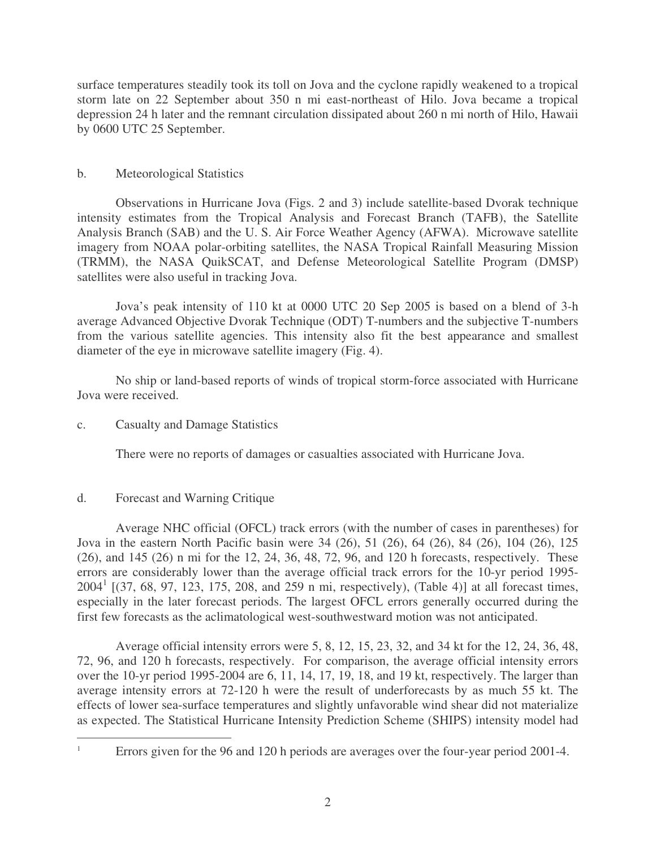surface temperatures steadily took its toll on Jova and the cyclone rapidly weakened to a tropical storm late on 22 September about 350 n mi east-northeast of Hilo. Jova became a tropical depression 24 h later and the remnant circulation dissipated about 260 n mi north of Hilo, Hawaii by 0600 UTC 25 September.

## b. Meteorological Statistics

Observations in Hurricane Jova (Figs. 2 and 3) include satellite-based Dvorak technique intensity estimates from the Tropical Analysis and Forecast Branch (TAFB), the Satellite Analysis Branch (SAB) and the U. S. Air Force Weather Agency (AFWA). Microwave satellite imagery from NOAA polar-orbiting satellites, the NASA Tropical Rainfall Measuring Mission (TRMM), the NASA QuikSCAT, and Defense Meteorological Satellite Program (DMSP) satellites were also useful in tracking Jova.

Jova's peak intensity of 110 kt at 0000 UTC 20 Sep 2005 is based on a blend of 3-h average Advanced Objective Dvorak Technique (ODT) T-numbers and the subjective T-numbers from the various satellite agencies. This intensity also fit the best appearance and smallest diameter of the eye in microwave satellite imagery (Fig. 4).

No ship or land-based reports of winds of tropical storm-force associated with Hurricane Jova were received.

## c. Casualty and Damage Statistics

There were no reports of damages or casualties associated with Hurricane Jova.

## d. Forecast and Warning Critique

Average NHC official (OFCL) track errors (with the number of cases in parentheses) for Jova in the eastern North Pacific basin were 34 (26), 51 (26), 64 (26), 84 (26), 104 (26), 125 (26), and 145 (26) n mi for the 12, 24, 36, 48, 72, 96, and 120 h forecasts, respectively. These errors are considerably lower than the average official track errors for the 10-yr period 1995-  $2004<sup>1</sup>$  [(37, 68, 97, 123, 175, 208, and 259 n mi, respectively), (Table 4)] at all forecast times, especially in the later forecast periods. The largest OFCL errors generally occurred during the first few forecasts as the aclimatological west-southwestward motion was not anticipated.

Average official intensity errors were 5, 8, 12, 15, 23, 32, and 34 kt for the 12, 24, 36, 48, 72, 96, and 120 h forecasts, respectively. For comparison, the average official intensity errors over the 10-yr period 1995-2004 are 6, 11, 14, 17, 19, 18, and 19 kt, respectively. The larger than average intensity errors at 72-120 h were the result of underforecasts by as much 55 kt. The effects of lower sea-surface temperatures and slightly unfavorable wind shear did not materialize as expected. The Statistical Hurricane Intensity Prediction Scheme (SHIPS) intensity model had

Errors given for the 96 and 120 h periods are averages over the four-year period 2001-4.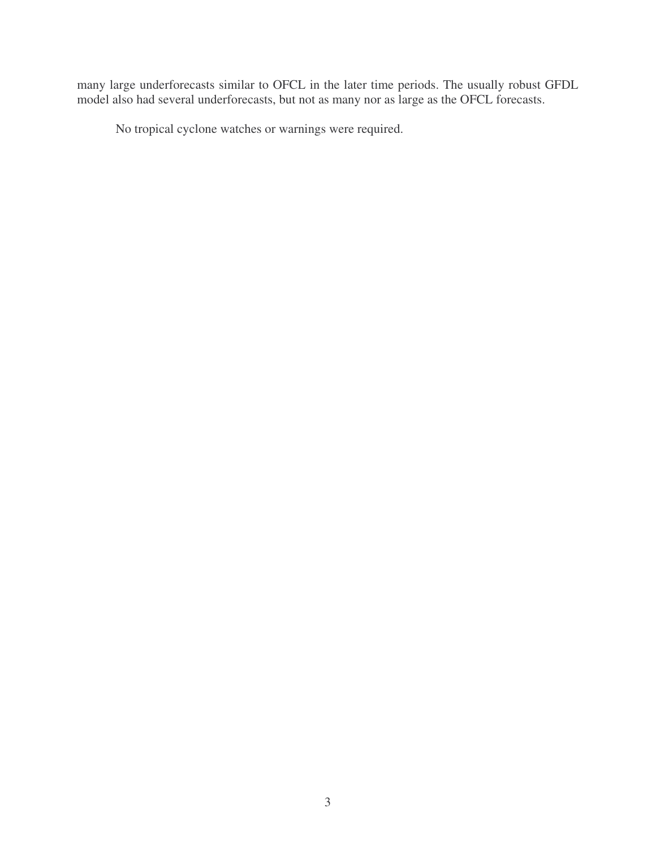many large underforecasts similar to OFCL in the later time periods. The usually robust GFDL model also had several underforecasts, but not as many nor as large as the OFCL forecasts.

No tropical cyclone watches or warnings were required.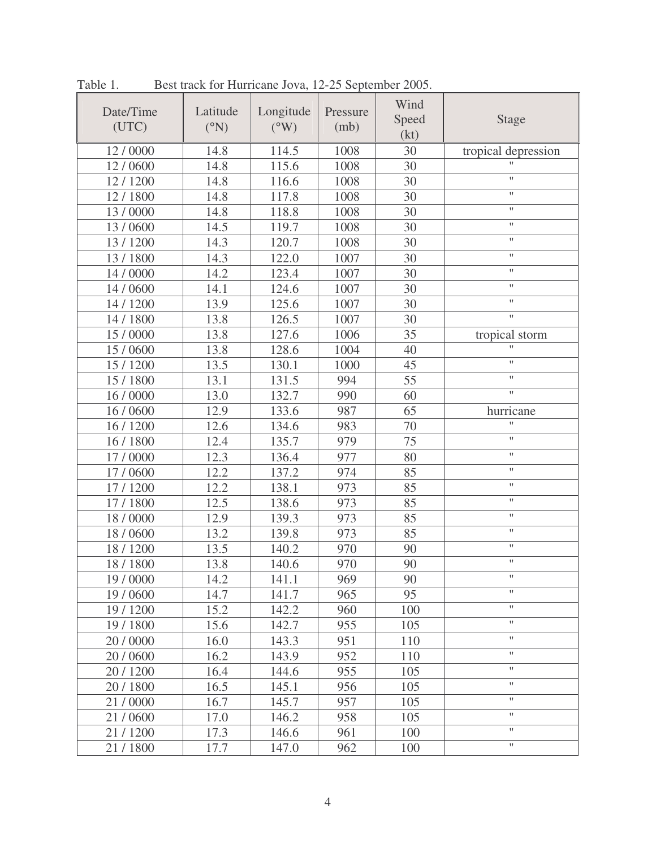| Date/Time<br>(UTC) | Latitude<br>$(^{\circ}N)$ | Longitude<br>$(^{\circ}W)$ | Pressure<br>(mb) | Wind<br>Speed<br>(kt) | <b>Stage</b>        |  |
|--------------------|---------------------------|----------------------------|------------------|-----------------------|---------------------|--|
| 12/0000            | 14.8                      | 114.5                      | 1008             | 30                    | tropical depression |  |
| 12/0600            | 14.8                      | 115.6                      | 1008             | 30                    |                     |  |
| 12/1200            | 14.8                      | 116.6                      | 1008             | 30                    | $\mathbf{H}$        |  |
| 12/1800            | 14.8                      | 117.8                      | 1008             | 30                    | $\pmb{\mathsf{H}}$  |  |
| 13/0000            | 14.8                      | 118.8                      | 1008             | 30                    | $\pmb{\mathsf{H}}$  |  |
| 13/0600            | 14.5                      | 119.7                      | 1008             | 30                    | $\pmb{\mathsf{H}}$  |  |
| 13/1200            | 14.3                      | 120.7                      | 1008             | 30                    | $^{\dagger}$        |  |
| 13/1800            | 14.3                      | 122.0                      | 1007             | 30                    | $\pmb{\mathsf{H}}$  |  |
| 14 / 0000          | 14.2                      | 123.4                      | 1007             | 30                    | $\pmb{\mathsf{H}}$  |  |
| 14/0600            | 14.1                      | 124.6                      | 1007             | 30                    | $\pmb{\mathsf{H}}$  |  |
| 14 / 1200          | 13.9                      | 125.6                      | 1007             | 30                    | $\pmb{\mathsf{H}}$  |  |
| 14/1800            | 13.8                      | 126.5                      | 1007             | 30                    | $\mathbf{H}$        |  |
| 15 / 0000          | 13.8                      | 127.6                      | 1006             | 35                    | tropical storm      |  |
| 15/0600            | 13.8                      | 128.6                      | 1004             | 40                    | $\mathbf{H}$        |  |
| 15/1200            | 13.5                      | 130.1                      | 1000             | 45                    | $\pmb{\mathsf{H}}$  |  |
| 15/1800            | 13.1                      | 131.5                      | 994              | 55                    | $\pmb{\mathsf{H}}$  |  |
| 16 / 0000          | 13.0                      | 132.7                      | 990              | 60                    | $\mathbf{H}$        |  |
| 16/0600            | 12.9                      | 133.6                      | 987              | 65                    | hurricane           |  |
| 16/1200            | 12.6                      | 134.6                      | 983              | 70                    | $\mathbf{H}$        |  |
| 16 / 1800          | 12.4                      | 135.7                      | 979              | 75                    | $\pmb{\mathsf{H}}$  |  |
| 17/0000            | 12.3                      | 136.4                      | 977              | 80                    | $\pmb{\mathsf{H}}$  |  |
| 17/0600            | 12.2                      | 137.2                      | 974              | 85                    | $\pmb{\mathsf{H}}$  |  |
| 17/1200            | 12.2                      | 138.1                      | 973              | 85                    | $\pmb{\mathsf{H}}$  |  |
| 17/1800            | 12.5                      | 138.6                      | 973              | 85                    | $\pmb{\mathsf{H}}$  |  |
| 18/0000            | 12.9                      | 139.3                      | 973              | 85                    | $\pmb{\mathsf{H}}$  |  |
| 18/0600            | 13.2                      | 139.8                      | 973              | 85                    | $\pmb{\mathsf{H}}$  |  |
| 18/1200            | 13.5                      | 140.2                      | 970              | 90                    | $\pmb{\mathsf{H}}$  |  |
| 18/1800            | 13.8                      | 140.6                      | 970              | 90                    | $\mathbf{H}$        |  |
| 19 / 0000          | 14.2                      | 141.1                      | 969              | 90                    | 11                  |  |
| 19 / 0600          | 14.7                      | 141.7                      | 965              | 95                    | $\mathbf{H}$        |  |
| 19 / 1200          | 15.2                      | 142.2                      | 960              | 100                   | $\pmb{\mathsf{H}}$  |  |
| 19/1800            | 15.6                      | 142.7                      | 955              | 105                   | $\pmb{\mathsf{H}}$  |  |
| 20 / 0000          | 16.0                      | 143.3                      | 951              | 110                   | $\pmb{\mathsf{H}}$  |  |
| 20/0600            | 16.2                      | 143.9                      | 952              | 110                   | $\pmb{\mathsf{H}}$  |  |
| 20 / 1200          | 16.4                      | 144.6                      | 955              | 105                   | $\pmb{\mathsf{H}}$  |  |
| 20/1800            | 16.5                      | 145.1                      | 956              | 105                   | $\pmb{\mathsf{H}}$  |  |
| 21/0000            | 16.7                      | 145.7                      | 957              | 105                   | $\pmb{\mathsf{H}}$  |  |
| 21/0600            | 17.0                      | 146.2                      | 958              | 105                   | $\pmb{\mathsf{H}}$  |  |
| 21/1200            | 17.3                      | 146.6                      | 961              | 100                   | $\pmb{\mathsf{H}}$  |  |
| 21/1800            | 17.7                      | 147.0                      | 962              | 100                   | $\pmb{\mathsf{H}}$  |  |

Table 1. Best track for Hurricane Jova, 12-25 September 2005.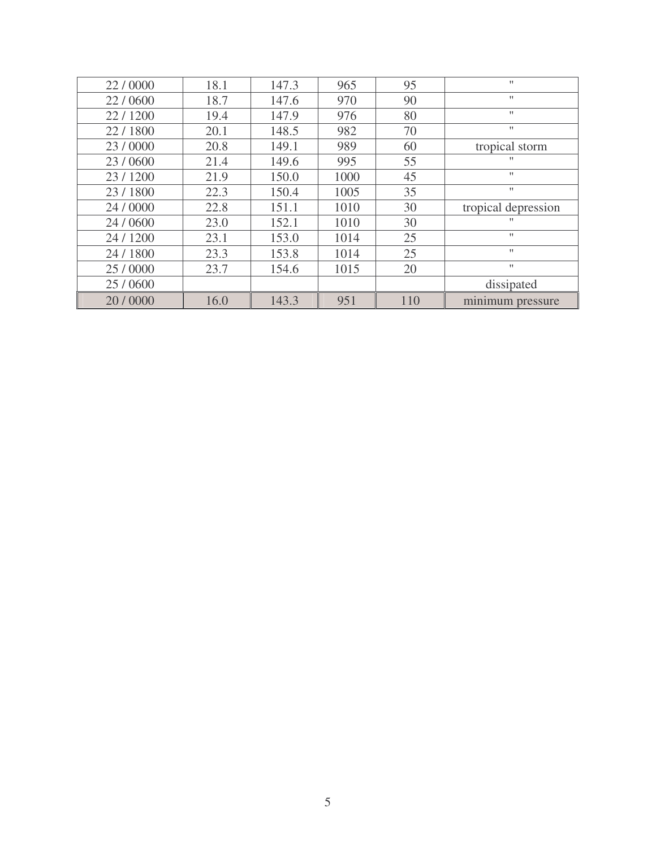| 22/0000   | 18.1 | 147.3 | 965  | 95  | $\mathbf{H}$        |
|-----------|------|-------|------|-----|---------------------|
| 22/0600   | 18.7 | 147.6 | 970  | 90  | $^{\dagger}$        |
| 22/1200   | 19.4 | 147.9 | 976  | 80  | $\pmb{\mathsf{H}}$  |
| 22/1800   | 20.1 | 148.5 | 982  | 70  | $\mathbf{H}$        |
| 23/0000   | 20.8 | 149.1 | 989  | 60  | tropical storm      |
| 23/0600   | 21.4 | 149.6 | 995  | 55  | $^{\dagger}$        |
| 23/1200   | 21.9 | 150.0 | 1000 | 45  | $\mathbf{H}$        |
| 23/1800   | 22.3 | 150.4 | 1005 | 35  | $^{\dagger}$        |
| 24 / 0000 | 22.8 | 151.1 | 1010 | 30  | tropical depression |
| 24/0600   | 23.0 | 152.1 | 1010 | 30  | $^{\dagger}$        |
| 24 / 1200 | 23.1 | 153.0 | 1014 | 25  | $^{\dagger}$        |
| 24 / 1800 | 23.3 | 153.8 | 1014 | 25  | $\mathbf{H}$        |
| 25/0000   | 23.7 | 154.6 | 1015 | 20  | $\mathbf{H}$        |
| 25/0600   |      |       |      |     | dissipated          |
| 20/0000   | 16.0 | 143.3 | 951  | 110 | minimum pressure    |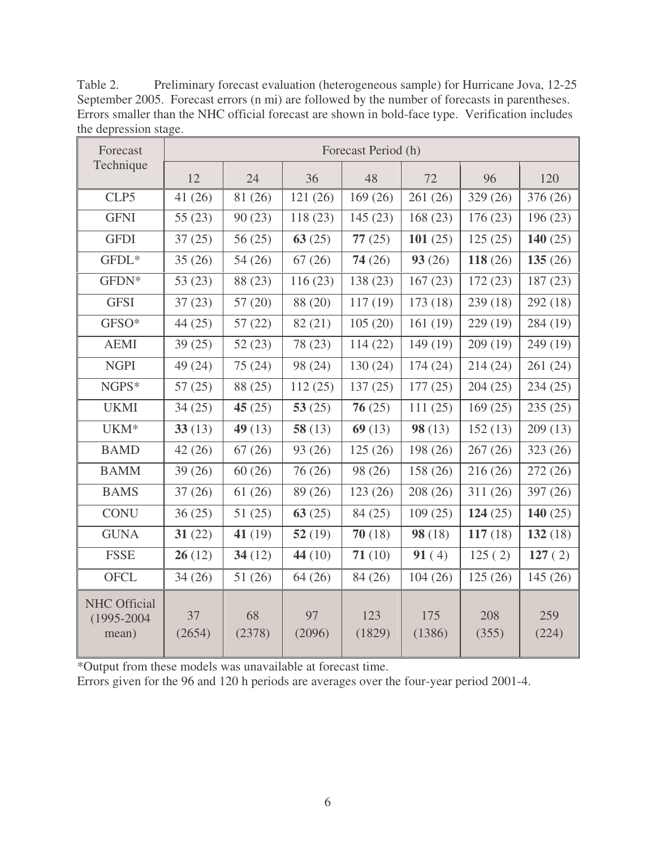| Forecast<br>Technique                          | Forecast Period (h) |              |              |               |               |              |              |  |
|------------------------------------------------|---------------------|--------------|--------------|---------------|---------------|--------------|--------------|--|
|                                                | 12                  | 24           | 36           | 48            | 72            | 96           | 120          |  |
| CLP5                                           | 41(26)              | 81 (26)      | 121(26)      | 169(26)       | 261 (26)      | 329 (26)     | 376 (26)     |  |
| <b>GFNI</b>                                    | 55(23)              | 90(23)       | 118(23)      | 145(23)       | 168(23)       | 176(23)      | 196(23)      |  |
| <b>GFDI</b>                                    | 37(25)              | 56(25)       | 63(25)       | 77(25)        | 101(25)       | 125(25)      | 140 $(25)$   |  |
| GFDL*                                          | 35(26)              | 54(26)       | 67(26)       | 74(26)        | 93(26)        | 118 $(26)$   | 135(26)      |  |
| GFDN*                                          | 53(23)              | 88 (23)      | 116(23)      | 138 (23)      | 167(23)       | 172(23)      | 187(23)      |  |
| <b>GFSI</b>                                    | 37(23)              | 57(20)       | 88 (20)      | 117(19)       | 173(18)       | 239 (18)     | 292 (18)     |  |
| GFSO*                                          | 44(25)              | 57(22)       | 82 (21)      | 105(20)       | 161(19)       | 229 (19)     | 284 (19)     |  |
| <b>AEMI</b>                                    | 39(25)              | 52(23)       | 78 (23)      | 114(22)       | 149(19)       | 209(19)      | 249 (19)     |  |
| <b>NGPI</b>                                    | 49 (24)             | 75(24)       | 98 (24)      | 130(24)       | 174(24)       | 214(24)      | 261 (24)     |  |
| NGPS*                                          | 57(25)              | 88 (25)      | 112(25)      | 137(25)       | 177(25)       | 204(25)      | 234(25)      |  |
| <b>UKMI</b>                                    | 34(25)              | 45 $(25)$    | 53 $(25)$    | 76(25)        | 111(25)       | 169(25)      | 235(25)      |  |
| UKM <sup>*</sup>                               | 33(13)              | 49 $(13)$    | 58 $(13)$    | 69(13)        | 98(13)        | 152(13)      | 209(13)      |  |
| <b>BAMD</b>                                    | 42(26)              | 67(26)       | 93 (26)      | 125(26)       | 198 (26)      | 267(26)      | 323(26)      |  |
| <b>BAMM</b>                                    | 39(26)              | 60(26)       | 76 (26)      | 98 (26)       | 158 (26)      | 216(26)      | 272(26)      |  |
| <b>BAMS</b>                                    | 37(26)              | 61(26)       | 89 (26)      | 123 (26)      | 208 (26)      | 311(26)      | 397 (26)     |  |
| <b>CONU</b>                                    | 36(25)              | 51(25)       | 63(25)       | 84 (25)       | 109(25)       | 124 $(25)$   | 140 $(25)$   |  |
| <b>GUNA</b>                                    | 31(22)              | 41 $(19)$    | 52(19)       | 70(18)        | 98(18)        | 117(18)      | 132(18)      |  |
| <b>FSSE</b>                                    | 26(12)              | 34 $(12)$    | 44 $(10)$    | 71(10)        | 91(4)         | 125(2)       | 127(2)       |  |
| <b>OFCL</b>                                    | 34(26)              | 51(26)       | 64(26)       | 84 (26)       | 104(26)       | 125(26)      | 145(26)      |  |
| <b>NHC Official</b><br>$(1995 - 2004$<br>mean) | 37<br>(2654)        | 68<br>(2378) | 97<br>(2096) | 123<br>(1829) | 175<br>(1386) | 208<br>(355) | 259<br>(224) |  |

Table 2. Preliminary forecast evaluation (heterogeneous sample) for Hurricane Jova, 12-25 September 2005. Forecast errors (n mi) are followed by the number of forecasts in parentheses. Errors smaller than the NHC official forecast are shown in bold-face type. Verification includes the depression stage.

\*Output from these models was unavailable at forecast time.

Errors given for the 96 and 120 h periods are averages over the four-year period 2001-4.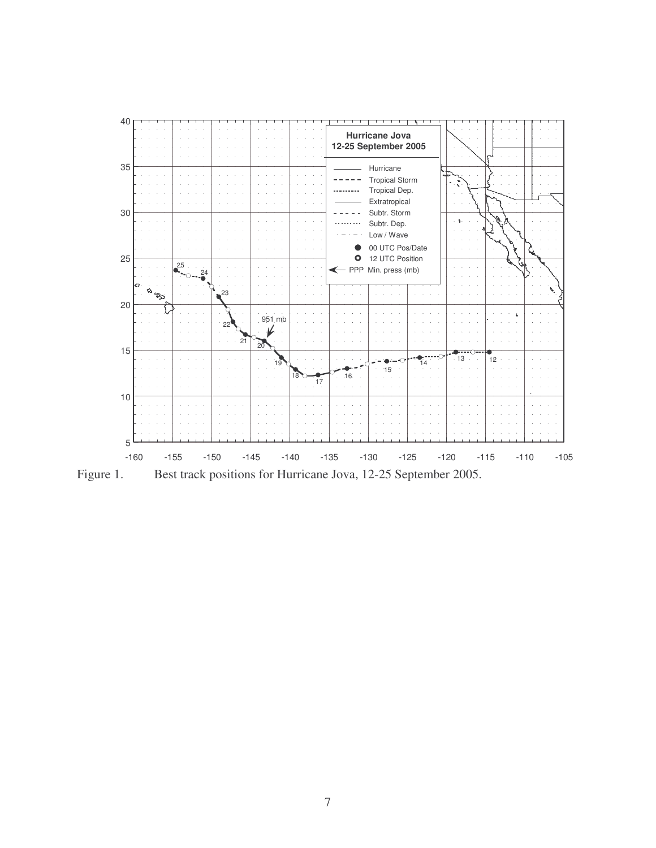

Figure 1. Best track positions for Hurricane Jova, 12-25 September 2005.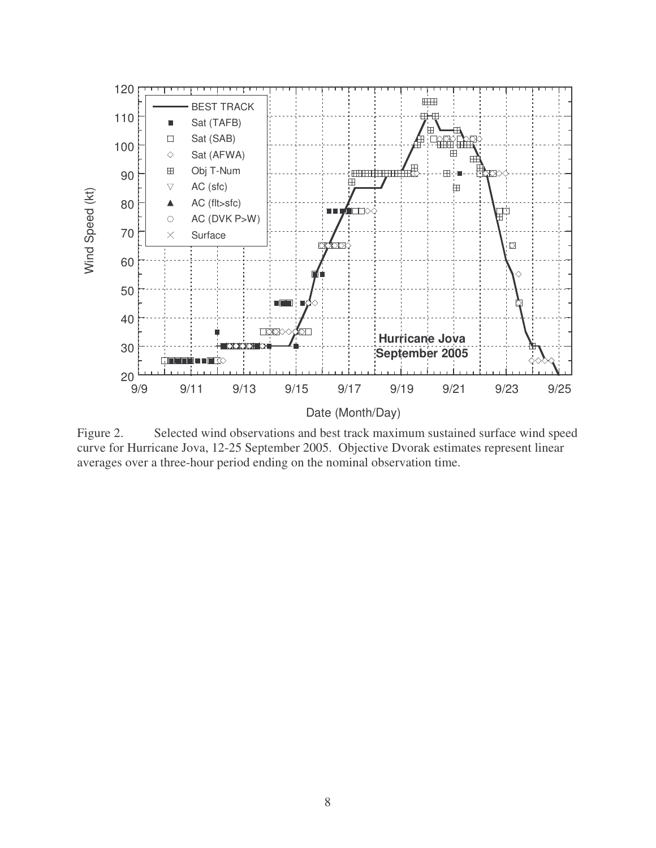

Figure 2. Selected wind observations and best track maximum sustained surface wind speed curve for Hurricane Jova, 12-25 September 2005. Objective Dvorak estimates represent linear averages over a three-hour period ending on the nominal observation time.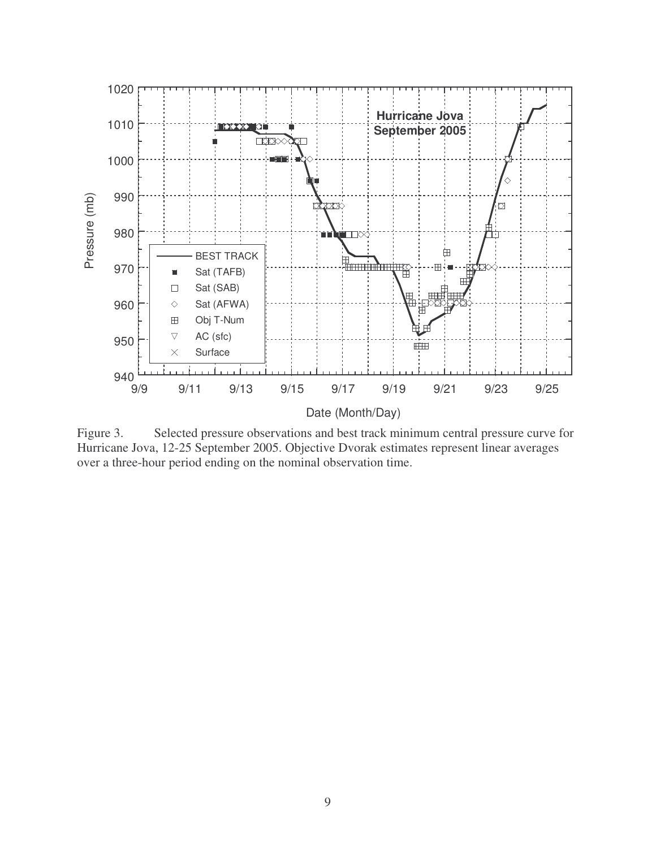

Figure 3. Selected pressure observations and best track minimum central pressure curve for Hurricane Jova, 12-25 September 2005. Objective Dvorak estimates represent linear averages over a three-hour period ending on the nominal observation time.